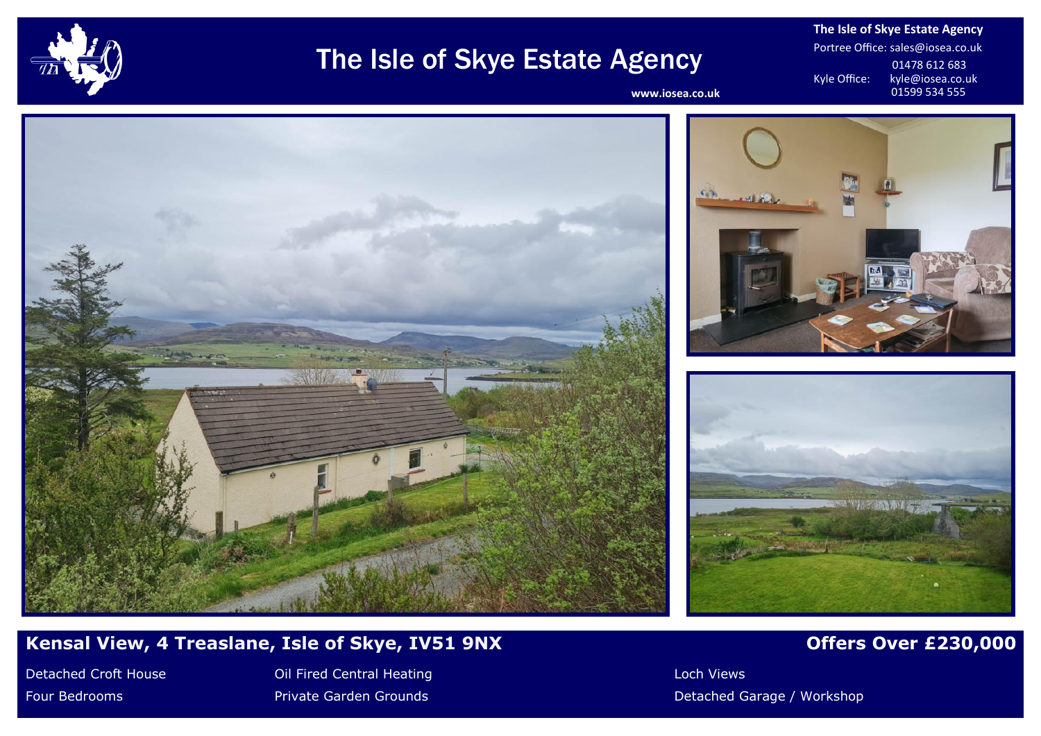

# The Isle of Skye Estate Agency

**The Isle of Skye Estate Agency** Portree Office: sales@iosea.co.uk 01478 612 683<br>Kyle Office: kyle@iosea.co.u kyle@iosea.co.uk<br>01599 534 555

www.iosea.co.uk







# **Kensal View, 4 Treaslane, Isle of Skye, IV51 9NX** *Offers Over £230,000*

Detached Croft House **Colliciant Collicit Central Heating Colliciant** Collicit Collicit Collicit Collicit Collicit Collicit Collicit Collicit Collicit Collicit Collicit Collicit Collicit Collicit Collicit Collicit Collicit

Four Bedrooms **Private Garden Grounds Private Garden Grounds Private Garage / Workshop**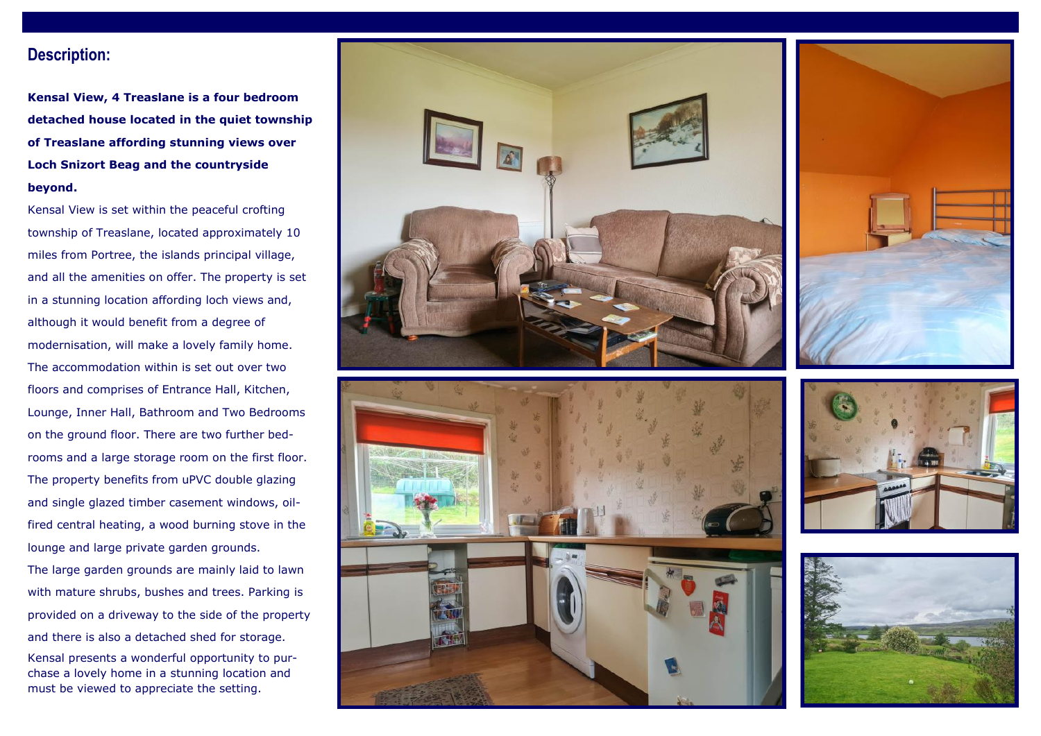### **Description:**

**Kensal View, 4 Treaslane is a four bedroom detached house located in the quiet township of Treaslane affording stunning views over Loch Snizort Beag and the countryside beyond.**

Kensal View is set within the peaceful crofting township of Treaslane, located approximately 10 miles from Portree, the islands principal village, and all the amenities on offer. The property is set in a stunning location affording loch views and, although it would benefit from a degree of modernisation, will make a lovely family home. The accommodation within is set out over two floors and comprises of Entrance Hall, Kitchen, Lounge, Inner Hall, Bathroom and Two Bedrooms on the ground floor. There are two further bedrooms and a large storage room on the first floor. The property benefits from uPVC double glazing and single glazed timber casement windows, oilfired central heating, a wood burning stove in the lounge and large private garden grounds.

The large garden grounds are mainly laid to lawn with mature shrubs, bushes and trees. Parking is provided on a driveway to the side of the property and there is also a detached shed for storage.

Kensal presents a wonderful opportunity to purchase a lovely home in a stunning location and must be viewed to appreciate the setting.







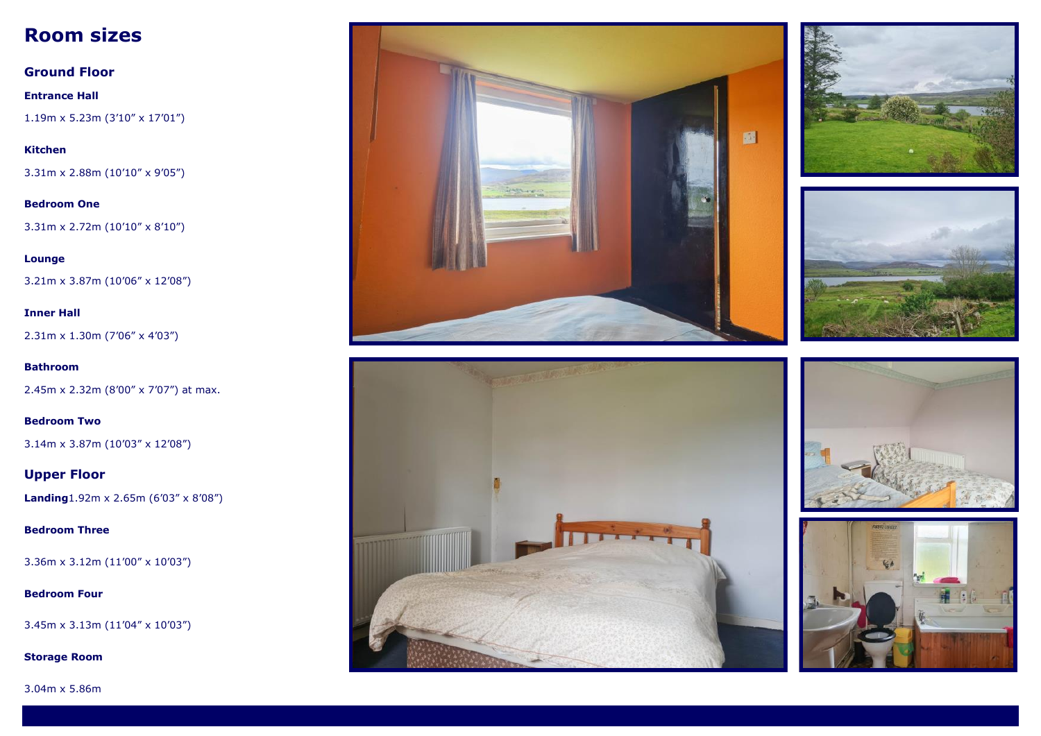# **Room sizes**

**Ground Floor Entrance Hall** 1.19m x 5.23m (3'10" x 17'01")

**Kitchen** 3.31m x 2.88m (10'10" x 9'05")

**Bedroom One** 3.31m x 2.72m (10'10" x 8'10")

**Lounge** 3.21m x 3.87m (10'06" x 12'08")

2.31m x 1.30m (7'06" x 4'03")

**Inner Hall**

**Bathroom** 2.45m x 2.32m (8'00" x 7'07") at max.

**Bedroom Two** 3.14m x 3.87m (10'03" x 12'08")

**Upper Floor Landing**1.92m x 2.65m (6'03" x 8'08")

**Bedroom Three**

3.36m x 3.12m (11'00" x 10'03")

#### **Bedroom Four**

3.45m x 3.13m (11'04" x 10'03")

**Storage Room**













3.04m x 5.86m